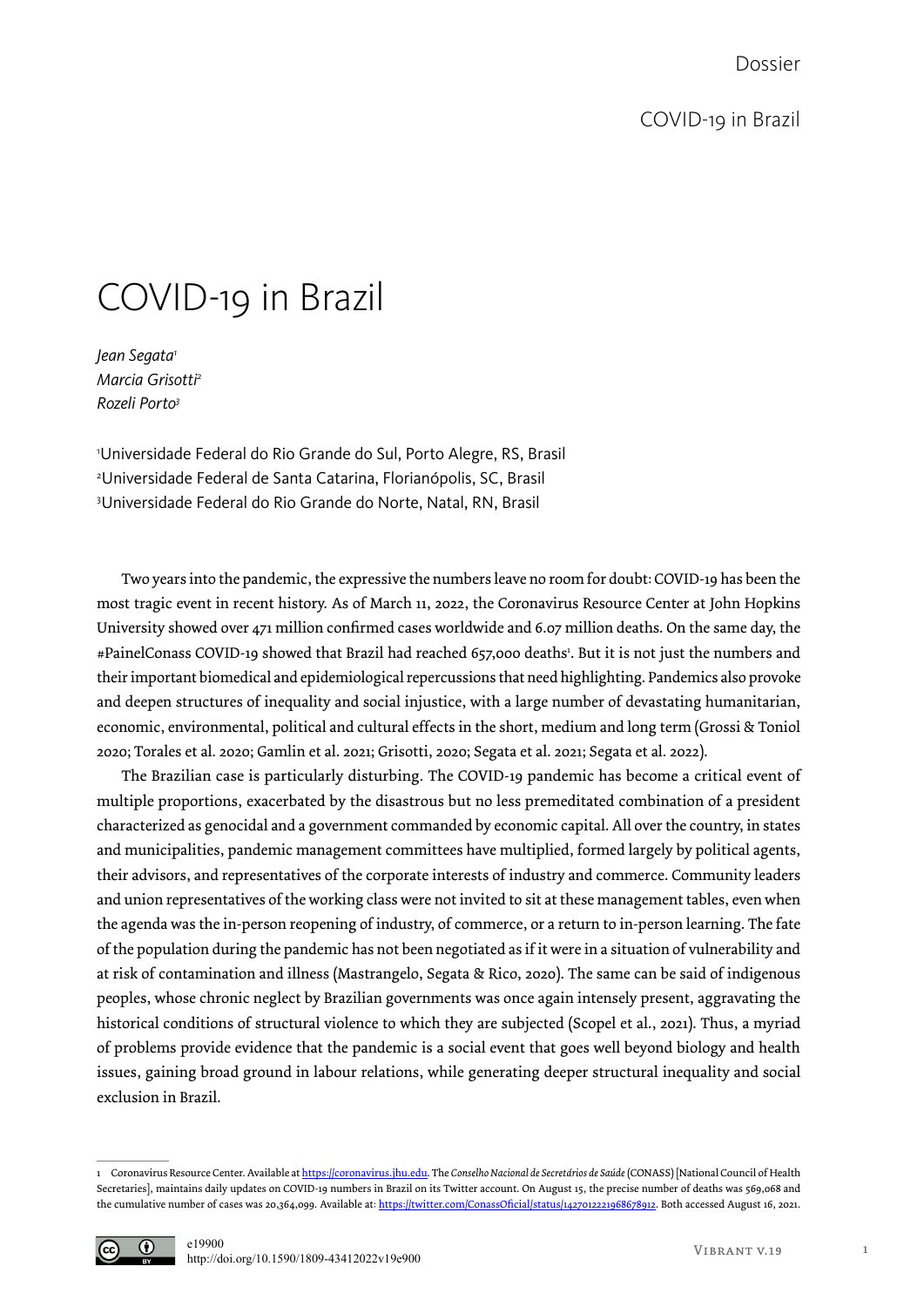## COVID-19 in Brazil

*Jean Segata1 Marcia Grisotti2 Rozeli Porto3*

1 Universidade Federal do Rio Grande do Sul, Porto Alegre, RS, Brasil 2 Universidade Federal de Santa Catarina, Florianópolis, SC, Brasil 3 Universidade Federal do Rio Grande do Norte, Natal, RN, Brasil

Two years into the pandemic, the expressive the numbers leave no room for doubt: COVID-19 has been the most tragic event in recent history. As of March 11, 2022, the Coronavirus Resource Center at John Hopkins University showed over 471 million confirmed cases worldwide and 6.07 million deaths. On the same day, the #PainelConass COVID-19 showed that Brazil had reached 657,000 deaths1 . But it is not just the numbers and their important biomedical and epidemiological repercussions that need highlighting. Pandemics also provoke and deepen structures of inequality and social injustice, with a large number of devastating humanitarian, economic, environmental, political and cultural effects in the short, medium and long term (Grossi & Toniol 2020; Torales et al. 2020; Gamlin et al. 2021; Grisotti, 2020; Segata et al. 2021; Segata et al. 2022).

The Brazilian case is particularly disturbing. The COVID-19 pandemic has become a critical event of multiple proportions, exacerbated by the disastrous but no less premeditated combination of a president characterized as genocidal and a government commanded by economic capital. All over the country, in states and municipalities, pandemic management committees have multiplied, formed largely by political agents, their advisors, and representatives of the corporate interests of industry and commerce. Community leaders and union representatives of the working class were not invited to sit at these management tables, even when the agenda was the in-person reopening of industry, of commerce, or a return to in-person learning. The fate of the population during the pandemic has not been negotiated as if it were in a situation of vulnerability and at risk of contamination and illness (Mastrangelo, Segata & Rico, 2020). The same can be said of indigenous peoples, whose chronic neglect by Brazilian governments was once again intensely present, aggravating the historical conditions of structural violence to which they are subjected (Scopel et al., 2021). Thus, a myriad of problems provide evidence that the pandemic is a social event that goes well beyond biology and health issues, gaining broad ground in labour relations, while generating deeper structural inequality and social exclusion in Brazil.

<sup>1</sup> Coronavirus Resource Center. Available at https://coronavirus.jhu.edu. The *Conselho Nacional de Secretários de Saúde* (CONASS) [National Council of Health Secretaries], maintains daily updates on COVID-19 numbers in Brazil on its Twitter account. On August 15, the precise number of deaths was 569,068 and the cumulative number of cases was 20,364,099. Available at: https://twitter.com/ConassOficial/status/1427012221968678912. Both accessed August 16, 2021.

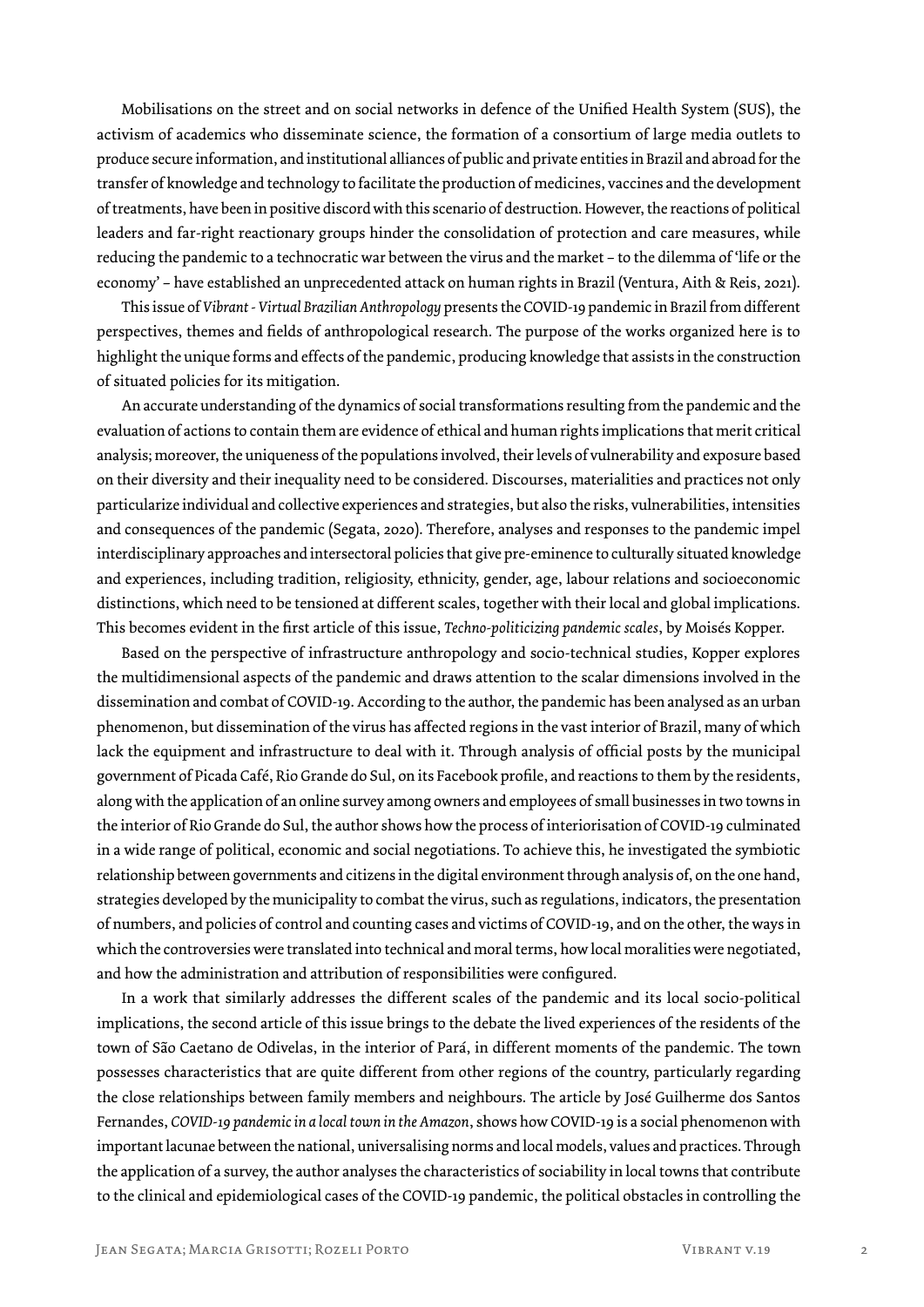Mobilisations on the street and on social networks in defence of the Unified Health System (SUS), the activism of academics who disseminate science, the formation of a consortium of large media outlets to produce secure information, and institutional alliances of public and private entities in Brazil and abroad for the transfer of knowledge and technology to facilitate the production of medicines, vaccines and the development of treatments, have been in positive discord with this scenario of destruction. However, the reactions of political leaders and far-right reactionary groups hinder the consolidation of protection and care measures, while reducing the pandemic to a technocratic war between the virus and the market – to the dilemma of 'life or the economy' – have established an unprecedented attack on human rights in Brazil (Ventura, Aith & Reis, 2021).

This issue of *Vibrant - Virtual Brazilian Anthropology* presents the COVID-19 pandemic in Brazil from different perspectives, themes and fields of anthropological research. The purpose of the works organized here is to highlight the unique forms and effects of the pandemic, producing knowledge that assists in the construction of situated policies for its mitigation.

An accurate understanding of the dynamics of social transformations resulting from the pandemic and the evaluation of actions to contain them are evidence of ethical and human rights implications that merit critical analysis; moreover, the uniqueness of the populations involved, their levels of vulnerability and exposure based on their diversity and their inequality need to be considered. Discourses, materialities and practices not only particularize individual and collective experiences and strategies, but also the risks, vulnerabilities, intensities and consequences of the pandemic (Segata, 2020). Therefore, analyses and responses to the pandemic impel interdisciplinary approaches and intersectoral policies that give pre-eminence to culturally situated knowledge and experiences, including tradition, religiosity, ethnicity, gender, age, labour relations and socioeconomic distinctions, which need to be tensioned at different scales, together with their local and global implications. This becomes evident in the first article of this issue, *Techno-politicizing pandemic scales*, by Moisés Kopper.

Based on the perspective of infrastructure anthropology and socio-technical studies, Kopper explores the multidimensional aspects of the pandemic and draws attention to the scalar dimensions involved in the dissemination and combat of COVID-19. According to the author, the pandemic has been analysed as an urban phenomenon, but dissemination of the virus has affected regions in the vast interior of Brazil, many of which lack the equipment and infrastructure to deal with it. Through analysis of official posts by the municipal government of Picada Café, Rio Grande do Sul, on its Facebook profile, and reactions to them by the residents, along with the application of an online survey among owners and employees of small businesses in two towns in the interior of Rio Grande do Sul, the author shows how the process of interiorisation of COVID-19 culminated in a wide range of political, economic and social negotiations. To achieve this, he investigated the symbiotic relationship between governments and citizens in the digital environment through analysis of, on the one hand, strategies developed by the municipality to combat the virus, such as regulations, indicators, the presentation of numbers, and policies of control and counting cases and victims of COVID-19, and on the other, the ways in which the controversies were translated into technical and moral terms, how local moralities were negotiated, and how the administration and attribution of responsibilities were configured.

In a work that similarly addresses the different scales of the pandemic and its local socio-political implications, the second article of this issue brings to the debate the lived experiences of the residents of the town of São Caetano de Odivelas, in the interior of Pará, in different moments of the pandemic. The town possesses characteristics that are quite different from other regions of the country, particularly regarding the close relationships between family members and neighbours. The article by José Guilherme dos Santos Fernandes, *COVID-19 pandemic in a local town in the Amazon*, shows how COVID-19 is a social phenomenon with important lacunae between the national, universalising norms and local models, values and practices. Through the application of a survey, the author analyses the characteristics of sociability in local towns that contribute to the clinical and epidemiological cases of the COVID-19 pandemic, the political obstacles in controlling the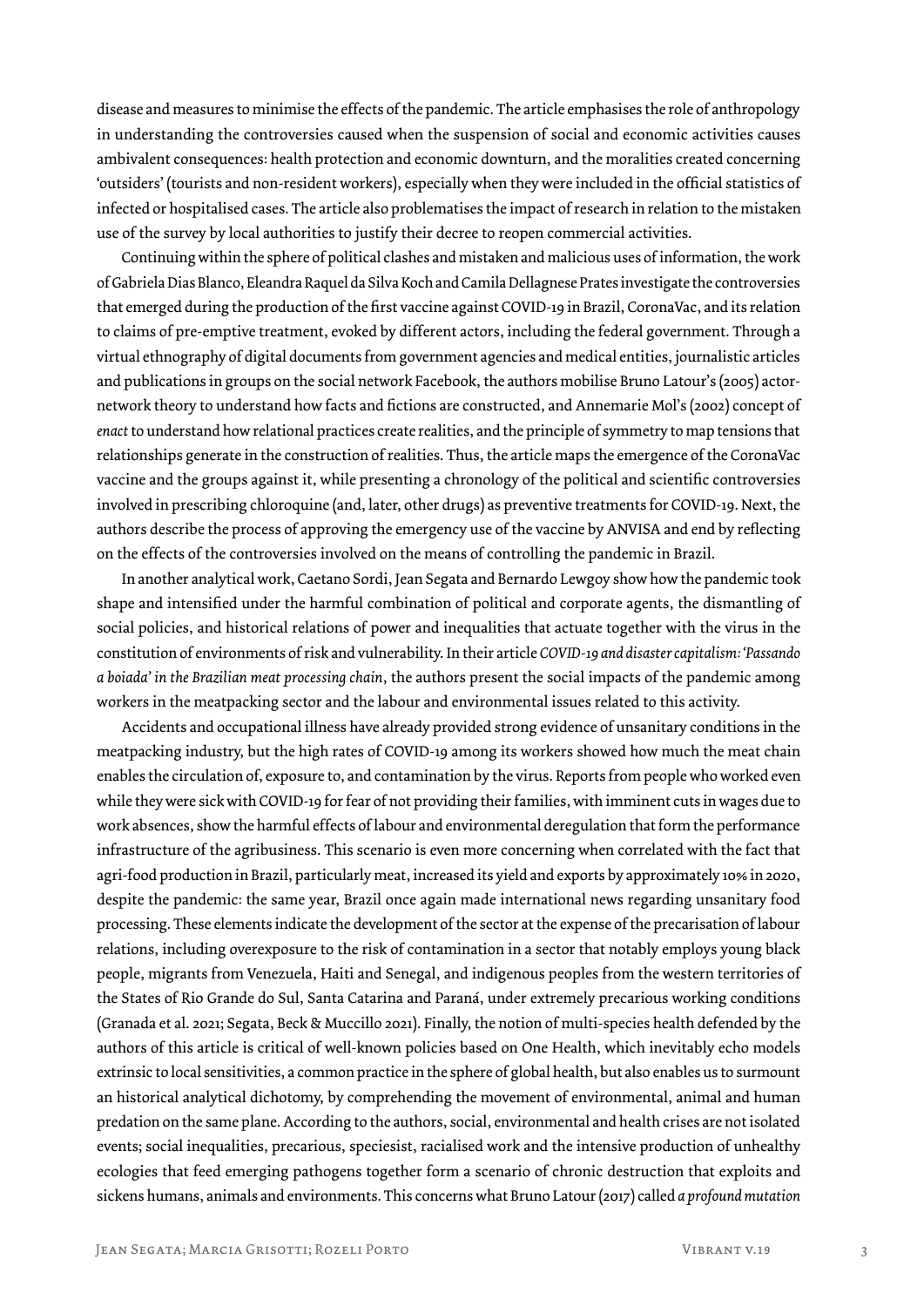disease and measures to minimise the effects of the pandemic. The article emphasises the role of anthropology in understanding the controversies caused when the suspension of social and economic activities causes ambivalent consequences: health protection and economic downturn, and the moralities created concerning 'outsiders' (tourists and non-resident workers), especially when they were included in the official statistics of infected or hospitalised cases. The article also problematises the impact of research in relation to the mistaken use of the survey by local authorities to justify their decree to reopen commercial activities.

Continuing within the sphere of political clashes and mistaken and malicious uses of information, the work of Gabriela Dias Blanco, Eleandra Raquel da Silva Koch and Camila Dellagnese Prates investigate the controversies that emerged during the production of the first vaccine against COVID-19 in Brazil, CoronaVac, and its relation to claims of pre-emptive treatment, evoked by different actors, including the federal government. Through a virtual ethnography of digital documents from government agencies and medical entities, journalistic articles and publications in groups on the social network Facebook, the authors mobilise Bruno Latour's (2005) actornetwork theory to understand how facts and fictions are constructed, and Annemarie Mol's (2002) concept of *enact* to understand how relational practices create realities, and the principle of symmetry to map tensions that relationships generate in the construction of realities. Thus, the article maps the emergence of the CoronaVac vaccine and the groups against it, while presenting a chronology of the political and scientific controversies involved in prescribing chloroquine (and, later, other drugs) as preventive treatments for COVID-19. Next, the authors describe the process of approving the emergency use of the vaccine by ANVISA and end by reflecting on the effects of the controversies involved on the means of controlling the pandemic in Brazil.

In another analytical work, Caetano Sordi, Jean Segata and Bernardo Lewgoy show how the pandemic took shape and intensified under the harmful combination of political and corporate agents, the dismantling of social policies, and historical relations of power and inequalities that actuate together with the virus in the constitution of environments of risk and vulnerability. In their article *COVID-19 and disaster capitalism: 'Passando a boiada' in the Brazilian meat processing chain*, the authors present the social impacts of the pandemic among workers in the meatpacking sector and the labour and environmental issues related to this activity.

Accidents and occupational illness have already provided strong evidence of unsanitary conditions in the meatpacking industry, but the high rates of COVID-19 among its workers showed how much the meat chain enables the circulation of, exposure to, and contamination by the virus. Reports from people who worked even while they were sick with COVID-19 for fear of not providing their families, with imminent cuts in wages due to work absences, show the harmful effects of labour and environmental deregulation that form the performance infrastructure of the agribusiness. This scenario is even more concerning when correlated with the fact that agri-food production in Brazil, particularly meat, increased its yield and exports by approximately 10% in 2020, despite the pandemic: the same year, Brazil once again made international news regarding unsanitary food processing. These elements indicate the development of the sector at the expense of the precarisation of labour relations, including overexposure to the risk of contamination in a sector that notably employs young black people, migrants from Venezuela, Haiti and Senegal, and indigenous peoples from the western territories of the States of Rio Grande do Sul, Santa Catarina and Paraná, under extremely precarious working conditions (Granada et al. 2021; Segata, Beck & Muccillo 2021). Finally, the notion of multi-species health defended by the authors of this article is critical of well-known policies based on One Health, which inevitably echo models extrinsic to local sensitivities, a common practice in the sphere of global health, but also enables us to surmount an historical analytical dichotomy, by comprehending the movement of environmental, animal and human predation on the same plane. According to the authors, social, environmental and health crises are not isolated events; social inequalities, precarious, speciesist, racialised work and the intensive production of unhealthy ecologies that feed emerging pathogens together form a scenario of chronic destruction that exploits and sickens humans, animals and environments. This concerns what Bruno Latour (2017) called *a profound mutation*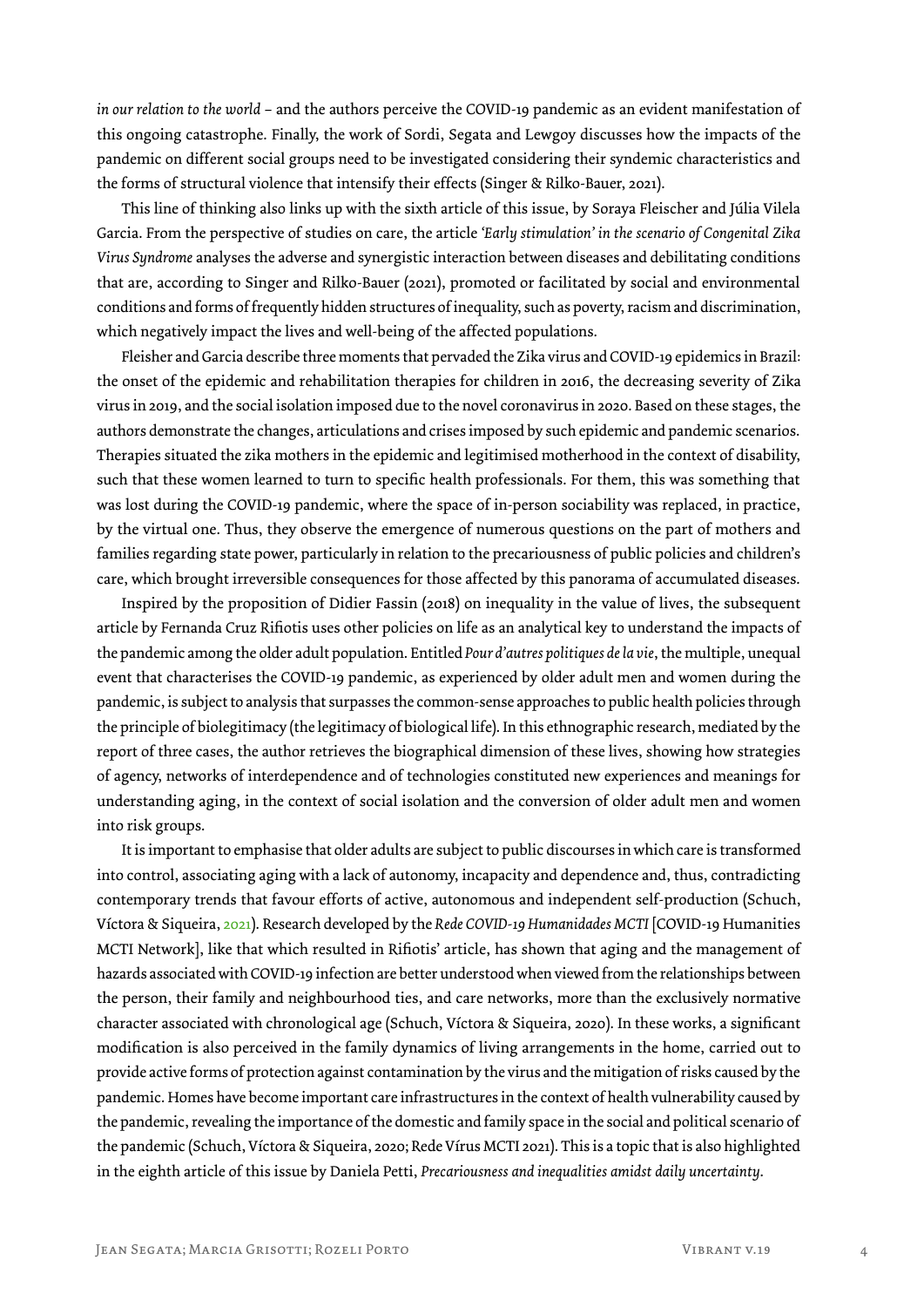*in our relation to the world* – and the authors perceive the COVID-19 pandemic as an evident manifestation of this ongoing catastrophe. Finally, the work of Sordi, Segata and Lewgoy discusses how the impacts of the pandemic on different social groups need to be investigated considering their syndemic characteristics and the forms of structural violence that intensify their effects (Singer & Rilko-Bauer, 2021).

This line of thinking also links up with the sixth article of this issue, by Soraya Fleischer and Júlia Vilela Garcia. From the perspective of studies on care, the article *'Early stimulation' in the scenario of Congenital Zika Virus Syndrome* analyses the adverse and synergistic interaction between diseases and debilitating conditions that are, according to Singer and Rilko-Bauer (2021), promoted or facilitated by social and environmental conditions and forms of frequently hidden structures of inequality, such as poverty, racism and discrimination, which negatively impact the lives and well-being of the affected populations.

Fleisher and Garcia describe three moments that pervaded the Zika virus and COVID-19 epidemics in Brazil: the onset of the epidemic and rehabilitation therapies for children in 2016, the decreasing severity of Zika virus in 2019, and the social isolation imposed due to the novel coronavirus in 2020. Based on these stages, the authors demonstrate the changes, articulations and crises imposed by such epidemic and pandemic scenarios. Therapies situated the zika mothers in the epidemic and legitimised motherhood in the context of disability, such that these women learned to turn to specific health professionals. For them, this was something that was lost during the COVID-19 pandemic, where the space of in-person sociability was replaced, in practice, by the virtual one. Thus, they observe the emergence of numerous questions on the part of mothers and families regarding state power, particularly in relation to the precariousness of public policies and children's care, which brought irreversible consequences for those affected by this panorama of accumulated diseases.

Inspired by the proposition of Didier Fassin (2018) on inequality in the value of lives, the subsequent article by Fernanda Cruz Rifiotis uses other policies on life as an analytical key to understand the impacts of the pandemic among the older adult population. Entitled *Pour d'autres politiques de la vie*, the multiple, unequal event that characterises the COVID-19 pandemic, as experienced by older adult men and women during the pandemic, is subject to analysis that surpasses the common-sense approaches to public health policies through the principle of biolegitimacy (the legitimacy of biological life). In this ethnographic research, mediated by the report of three cases, the author retrieves the biographical dimension of these lives, showing how strategies of agency, networks of interdependence and of technologies constituted new experiences and meanings for understanding aging, in the context of social isolation and the conversion of older adult men and women into risk groups.

It is important to emphasise that older adults are subject to public discourses in which care is transformed into control, associating aging with a lack of autonomy, incapacity and dependence and, thus, contradicting contemporary trends that favour efforts of active, autonomous and independent self-production (Schuch, Víctora & Siqueira, 2021). Research developed by the *Rede COVID-19 Humanidades MCTI* [COVID-19 Humanities MCTI Network], like that which resulted in Rifiotis' article, has shown that aging and the management of hazards associated with COVID-19 infection are better understood when viewed from the relationships between the person, their family and neighbourhood ties, and care networks, more than the exclusively normative character associated with chronological age (Schuch, Víctora & Siqueira, 2020). In these works, a significant modification is also perceived in the family dynamics of living arrangements in the home, carried out to provide active forms of protection against contamination by the virus and the mitigation of risks caused by the pandemic. Homes have become important care infrastructures in the context of health vulnerability caused by the pandemic, revealing the importance of the domestic and family space in the social and political scenario of the pandemic (Schuch, Víctora & Siqueira, 2020; Rede Vírus MCTI 2021). This is a topic that is also highlighted in the eighth article of this issue by Daniela Petti, *Precariousness and inequalities amidst daily uncertainty*.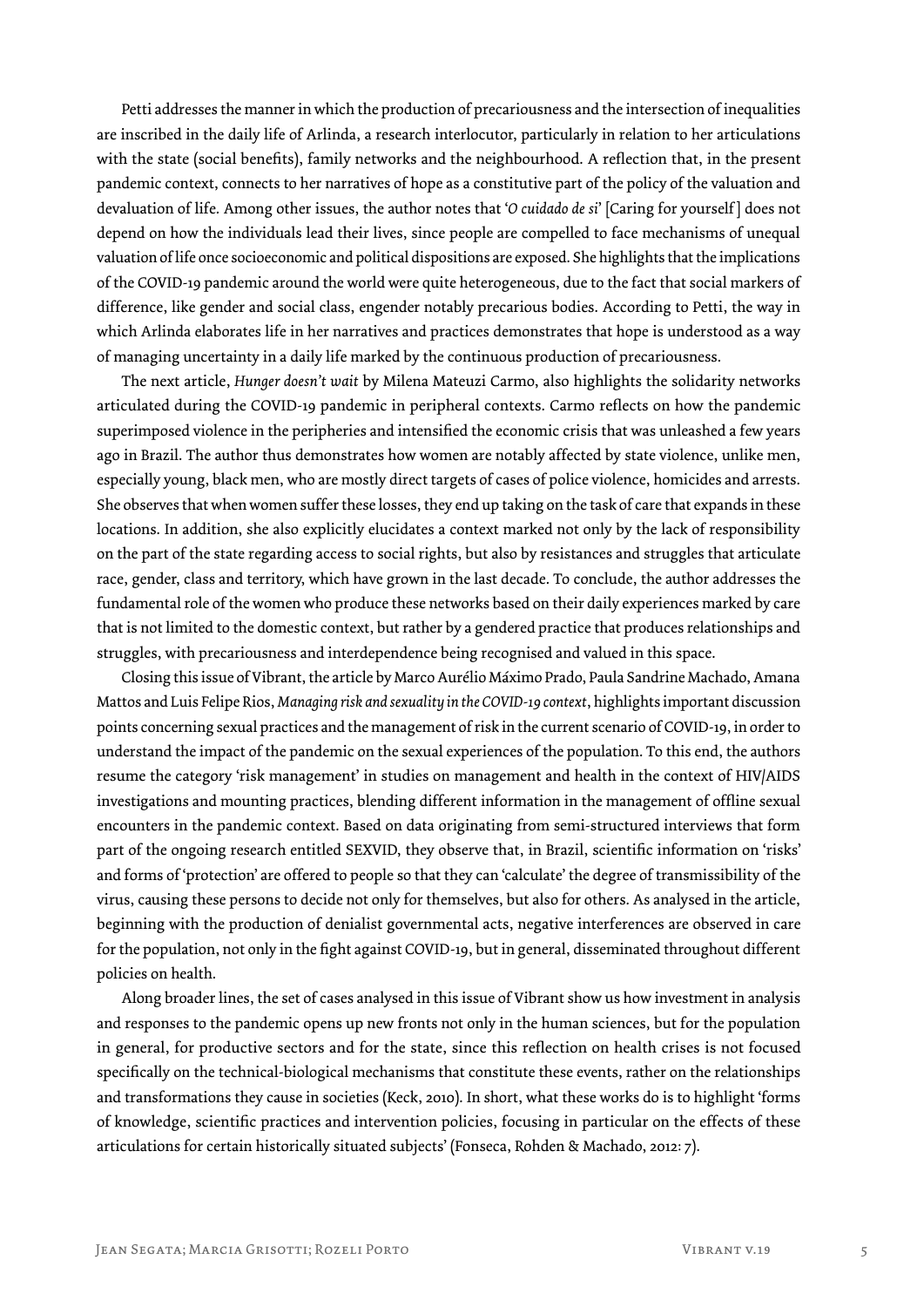Petti addresses the manner in which the production of precariousness and the intersection of inequalities are inscribed in the daily life of Arlinda, a research interlocutor, particularly in relation to her articulations with the state (social benefits), family networks and the neighbourhood. A reflection that, in the present pandemic context, connects to her narratives of hope as a constitutive part of the policy of the valuation and devaluation of life. Among other issues, the author notes that '*O cuidado de si*' [Caring for yourself ] does not depend on how the individuals lead their lives, since people are compelled to face mechanisms of unequal valuation of life once socioeconomic and political dispositions are exposed. She highlights that the implications of the COVID-19 pandemic around the world were quite heterogeneous, due to the fact that social markers of difference, like gender and social class, engender notably precarious bodies. According to Petti, the way in which Arlinda elaborates life in her narratives and practices demonstrates that hope is understood as a way of managing uncertainty in a daily life marked by the continuous production of precariousness.

The next article, *Hunger doesn't wait* by Milena Mateuzi Carmo, also highlights the solidarity networks articulated during the COVID-19 pandemic in peripheral contexts. Carmo reflects on how the pandemic superimposed violence in the peripheries and intensified the economic crisis that was unleashed a few years ago in Brazil. The author thus demonstrates how women are notably affected by state violence, unlike men, especially young, black men, who are mostly direct targets of cases of police violence, homicides and arrests. She observes that when women suffer these losses, they end up taking on the task of care that expands in these locations. In addition, she also explicitly elucidates a context marked not only by the lack of responsibility on the part of the state regarding access to social rights, but also by resistances and struggles that articulate race, gender, class and territory, which have grown in the last decade. To conclude, the author addresses the fundamental role of the women who produce these networks based on their daily experiences marked by care that is not limited to the domestic context, but rather by a gendered practice that produces relationships and struggles, with precariousness and interdependence being recognised and valued in this space.

Closing this issue of Vibrant, the article by Marco Aurélio Máximo Prado, Paula Sandrine Machado, Amana Mattos and Luis Felipe Rios, *Managing risk and sexuality in the COVID-19 context*, highlights important discussion points concerning sexual practices and the management of risk in the current scenario of COVID-19, in order to understand the impact of the pandemic on the sexual experiences of the population. To this end, the authors resume the category 'risk management' in studies on management and health in the context of HIV/AIDS investigations and mounting practices, blending different information in the management of offline sexual encounters in the pandemic context. Based on data originating from semi-structured interviews that form part of the ongoing research entitled SEXVID, they observe that, in Brazil, scientific information on 'risks' and forms of 'protection' are offered to people so that they can 'calculate' the degree of transmissibility of the virus, causing these persons to decide not only for themselves, but also for others. As analysed in the article, beginning with the production of denialist governmental acts, negative interferences are observed in care for the population, not only in the fight against COVID-19, but in general, disseminated throughout different policies on health.

Along broader lines, the set of cases analysed in this issue of Vibrant show us how investment in analysis and responses to the pandemic opens up new fronts not only in the human sciences, but for the population in general, for productive sectors and for the state, since this reflection on health crises is not focused specifically on the technical-biological mechanisms that constitute these events, rather on the relationships and transformations they cause in societies (Keck, 2010). In short, what these works do is to highlight 'forms of knowledge, scientific practices and intervention policies, focusing in particular on the effects of these articulations for certain historically situated subjects' (Fonseca, Rohden & Machado, 2012: 7).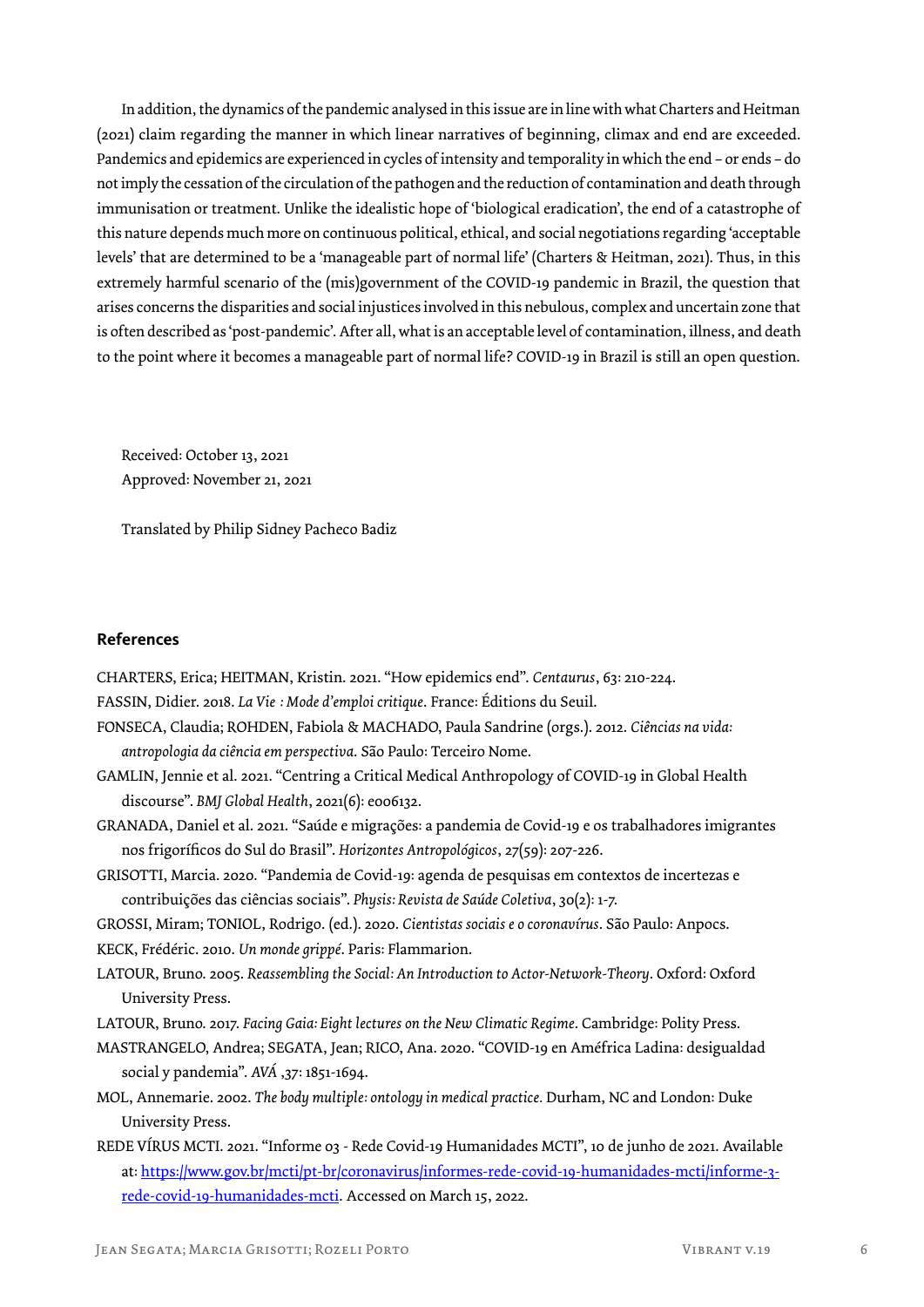In addition, the dynamics of the pandemic analysed in this issue are in line with what Charters and Heitman (2021) claim regarding the manner in which linear narratives of beginning, climax and end are exceeded. Pandemics and epidemics are experienced in cycles of intensity and temporality in which the end – or ends – do not imply the cessation of the circulation of the pathogen and the reduction of contamination and death through immunisation or treatment. Unlike the idealistic hope of 'biological eradication', the end of a catastrophe of this nature depends much more on continuous political, ethical, and social negotiations regarding 'acceptable levels' that are determined to be a 'manageable part of normal life' (Charters & Heitman, 2021). Thus, in this extremely harmful scenario of the (mis)government of the COVID-19 pandemic in Brazil, the question that arises concerns the disparities and social injustices involved in this nebulous, complex and uncertain zone that is often described as 'post-pandemic'. After all, what is an acceptable level of contamination, illness, and death to the point where it becomes a manageable part of normal life? COVID-19 in Brazil is still an open question.

Received: October 13, 2021 Approved: November 21, 2021

Translated by Philip Sidney Pacheco Badiz

## **References**

CHARTERS, Erica; HEITMAN, Kristin. 2021. "How epidemics end". *Centaurus*, 63: 210-224. FASSIN, Didier. 2018. *La Vie : Mode d'emploi critique*. France: Éditions du Seuil. FONSECA, Claudia; ROHDEN, Fabiola & MACHADO, Paula Sandrine (orgs.). 2012. *Ciências na vida: antropologia da ciência em perspectiva*. São Paulo: Terceiro Nome. GAMLIN, Jennie et al. 2021. "Centring a Critical Medical Anthropology of COVID-19 in Global Health discourse". *BMJ Global Health*, 2021(6): e006132. GRANADA, Daniel et al. 2021. "Saúde e migrações: a pandemia de Covid-19 e os trabalhadores imigrantes nos frigoríficos do Sul do Brasil". *Horizontes Antropológicos*, 27(59): 207-226. GRISOTTI, Marcia. 2020. "Pandemia de Covid-19: agenda de pesquisas em contextos de incertezas e contribuições das ciências sociais". *Physis: Revista de Saúde Coletiva*, 30(2): 1-7. GROSSI, Miram; TONIOL, Rodrigo. (ed.). 2020. *Cientistas sociais e o coronavírus*. São Paulo: Anpocs. KECK, Frédéric. 2010. *Un monde grippé*. Paris: Flammarion. LATOUR, Bruno. 2005. *Reassembling the Social: An Introduction to Actor-Network-Theory*. Oxford: Oxford University Press. LATOUR, Bruno. 2017. *Facing Gaia: Eight lectures on the New Climatic Regime*. Cambridge: Polity Press. MASTRANGELO, Andrea; SEGATA, Jean; RICO, Ana. 2020. "COVID-19 en Améfrica Ladina: desigualdad social y pandemia". *AVÁ* ,37: 1851-1694. MOL, Annemarie. 2002. *The body multiple: ontology in medical practice.* Durham, NC and London: Duke University Press. REDE VÍRUS MCTI. 2021. "Informe 03 - Rede Covid-19 Humanidades MCTI", 10 de junho de 2021. Available at: https://www.gov.br/mcti/pt-br/coronavirus/informes-rede-covid-19-humanidades-mcti/informe-3